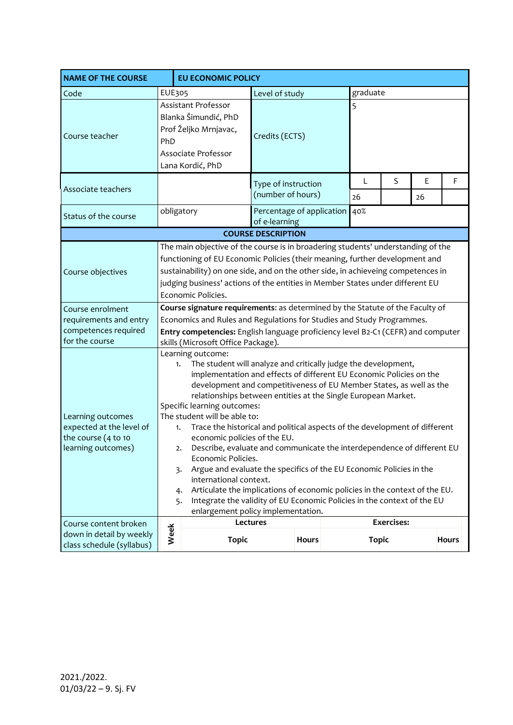| <b>NAME OF THE COURSE</b>                                                                     | <b>EU ECONOMIC POLICY</b>                                                                                                                                                                                                                                                                                                                                                                                                                                                                                                                                                                                                                                                                                                                                                                                                                                                     |                                                                                                                 |                |                                          |          |              |                   |         |              |  |
|-----------------------------------------------------------------------------------------------|-------------------------------------------------------------------------------------------------------------------------------------------------------------------------------------------------------------------------------------------------------------------------------------------------------------------------------------------------------------------------------------------------------------------------------------------------------------------------------------------------------------------------------------------------------------------------------------------------------------------------------------------------------------------------------------------------------------------------------------------------------------------------------------------------------------------------------------------------------------------------------|-----------------------------------------------------------------------------------------------------------------|----------------|------------------------------------------|----------|--------------|-------------------|---------|--------------|--|
| Code                                                                                          | <b>EUE305</b>                                                                                                                                                                                                                                                                                                                                                                                                                                                                                                                                                                                                                                                                                                                                                                                                                                                                 |                                                                                                                 | Level of study |                                          | graduate |              |                   |         |              |  |
| Course teacher                                                                                | PhD                                                                                                                                                                                                                                                                                                                                                                                                                                                                                                                                                                                                                                                                                                                                                                                                                                                                           | Assistant Professor<br>Blanka Šimundić, PhD<br>Prof Željko Mrnjavac,<br>Associate Professor<br>Lana Kordić, PhD | Credits (ECTS) |                                          |          | 5            |                   |         |              |  |
| Associate teachers                                                                            |                                                                                                                                                                                                                                                                                                                                                                                                                                                                                                                                                                                                                                                                                                                                                                                                                                                                               |                                                                                                                 |                | Type of instruction<br>(number of hours) |          | L<br>26      | S                 | Е<br>26 | F            |  |
| Status of the course                                                                          |                                                                                                                                                                                                                                                                                                                                                                                                                                                                                                                                                                                                                                                                                                                                                                                                                                                                               | Percentage of application<br>obligatory<br>of e-learning                                                        |                |                                          |          | 40%          |                   |         |              |  |
| <b>COURSE DESCRIPTION</b>                                                                     |                                                                                                                                                                                                                                                                                                                                                                                                                                                                                                                                                                                                                                                                                                                                                                                                                                                                               |                                                                                                                 |                |                                          |          |              |                   |         |              |  |
| Course objectives                                                                             | The main objective of the course is in broadering students' understanding of the<br>functioning of EU Economic Policies (their meaning, further development and<br>sustainability) on one side, and on the other side, in achieveing competences in<br>judging business' actions of the entities in Member States under different EU<br>Economic Policies.                                                                                                                                                                                                                                                                                                                                                                                                                                                                                                                    |                                                                                                                 |                |                                          |          |              |                   |         |              |  |
| Course enrolment<br>requirements and entry<br>competences required<br>for the course          | Course signature requirements: as determined by the Statute of the Faculty of<br>Economics and Rules and Regulations for Studies and Study Programmes.<br>Entry competencies: English language proficiency level B2-C1 (CEFR) and computer<br>skills (Microsoft Office Package).                                                                                                                                                                                                                                                                                                                                                                                                                                                                                                                                                                                              |                                                                                                                 |                |                                          |          |              |                   |         |              |  |
| Learning outcomes<br>expected at the level of<br>the course $(4 to 10)$<br>learning outcomes) | Learning outcome:<br>The student will analyze and critically judge the development,<br>1.<br>implementation and effects of different EU Economic Policies on the<br>development and competitiveness of EU Member States, as well as the<br>relationships between entities at the Single European Market.<br>Specific learning outcomes:<br>The student will be able to:<br>Trace the historical and political aspects of the development of different<br>1.<br>economic policies of the EU.<br>Describe, evaluate and communicate the interdependence of different EU<br>2.<br>Economic Policies.<br>Argue and evaluate the specifics of the EU Economic Policies in the<br>3.<br>international context.<br>Articulate the implications of economic policies in the context of the EU.<br>4.<br>Integrate the validity of EU Economic Policies in the context of the EU<br>5. |                                                                                                                 |                |                                          |          |              |                   |         |              |  |
| Course content broken<br>down in detail by weekly<br>class schedule (syllabus)                | Week                                                                                                                                                                                                                                                                                                                                                                                                                                                                                                                                                                                                                                                                                                                                                                                                                                                                          | enlargement policy implementation.<br><b>Topic</b>                                                              | Lectures       | <b>Hours</b>                             |          | <b>Topic</b> | <b>Exercises:</b> |         | <b>Hours</b> |  |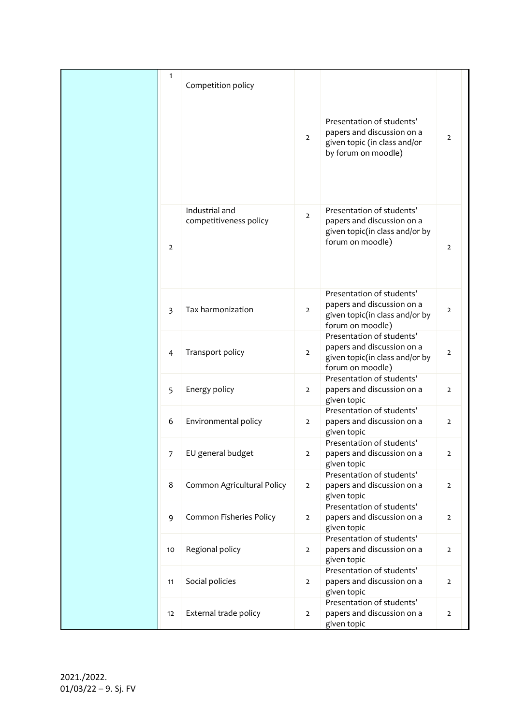| $\mathbf{1}$   | Competition policy                       |                |                                                                                                                |                |
|----------------|------------------------------------------|----------------|----------------------------------------------------------------------------------------------------------------|----------------|
|                |                                          | $\overline{2}$ | Presentation of students'<br>papers and discussion on a<br>given topic (in class and/or<br>by forum on moodle) | $\mathbf{2}$   |
| $\overline{2}$ | Industrial and<br>competitiveness policy | $\overline{2}$ | Presentation of students'<br>papers and discussion on a<br>given topic(in class and/or by<br>forum on moodle)  | $\overline{2}$ |
| $\overline{3}$ | Tax harmonization                        | $\overline{2}$ | Presentation of students'<br>papers and discussion on a<br>given topic(in class and/or by<br>forum on moodle)  | $\overline{2}$ |
| $\overline{4}$ | Transport policy                         | $\overline{2}$ | Presentation of students'<br>papers and discussion on a<br>given topic(in class and/or by<br>forum on moodle)  | $\overline{2}$ |
| 5              | Energy policy                            | $\overline{2}$ | Presentation of students'<br>papers and discussion on a<br>given topic                                         | $\overline{2}$ |
| 6              | Environmental policy                     | $\overline{2}$ | Presentation of students'<br>papers and discussion on a<br>given topic                                         | $\overline{2}$ |
| 7              | EU general budget                        | 2              | Presentation of students'<br>papers and discussion on a<br>given topic                                         | $\overline{z}$ |
| 8              | Common Agricultural Policy               | $\overline{2}$ | Presentation of students'<br>papers and discussion on a<br>given topic                                         | $\overline{2}$ |
| 9              | Common Fisheries Policy                  | $\overline{2}$ | Presentation of students'<br>papers and discussion on a<br>given topic                                         | $\overline{2}$ |
| 10             | Regional policy                          | $\overline{2}$ | Presentation of students'<br>papers and discussion on a<br>given topic                                         | $\overline{2}$ |
| 11             | Social policies                          | $\overline{2}$ | Presentation of students'<br>papers and discussion on a<br>given topic                                         | $\overline{2}$ |
| 12             | External trade policy                    | $\overline{2}$ | Presentation of students'<br>papers and discussion on a<br>given topic                                         | $\overline{2}$ |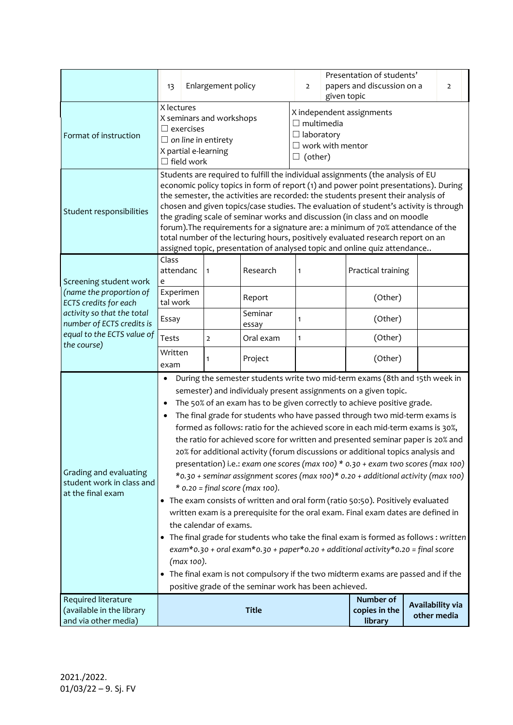|                                                                                                                                                          | 13                                                                                                                                                                                                                                                                                                                                                                                                                                                                                                                                                                                                                                                                                                                                                                                                                                                                                                                                                                                                                                                                                                                                                                                                                                                                                                                                         | Enlargement policy |                                                                                                                | $\overline{2}$ | Presentation of students'<br>papers and discussion on a<br>given topic |                    |             | $\overline{2}$ |
|----------------------------------------------------------------------------------------------------------------------------------------------------------|--------------------------------------------------------------------------------------------------------------------------------------------------------------------------------------------------------------------------------------------------------------------------------------------------------------------------------------------------------------------------------------------------------------------------------------------------------------------------------------------------------------------------------------------------------------------------------------------------------------------------------------------------------------------------------------------------------------------------------------------------------------------------------------------------------------------------------------------------------------------------------------------------------------------------------------------------------------------------------------------------------------------------------------------------------------------------------------------------------------------------------------------------------------------------------------------------------------------------------------------------------------------------------------------------------------------------------------------|--------------------|----------------------------------------------------------------------------------------------------------------|----------------|------------------------------------------------------------------------|--------------------|-------------|----------------|
| Format of instruction                                                                                                                                    | X lectures<br>X seminars and workshops<br>$\Box$ exercises<br>$\Box$ on line in entirety<br>X partial e-learning<br>$\Box$ field work                                                                                                                                                                                                                                                                                                                                                                                                                                                                                                                                                                                                                                                                                                                                                                                                                                                                                                                                                                                                                                                                                                                                                                                                      |                    | X independent assignments<br>$\Box$ multimedia<br>$\Box$ laboratory<br>$\Box$ work with mentor<br>(other)<br>ப |                |                                                                        |                    |             |                |
| Student responsibilities                                                                                                                                 | Students are required to fulfill the individual assignments (the analysis of EU<br>economic policy topics in form of report (1) and power point presentations). During<br>the semester, the activities are recorded: the students present their analysis of<br>chosen and given topics/case studies. The evaluation of student's activity is through<br>the grading scale of seminar works and discussion (in class and on moodle<br>forum). The requirements for a signature are: a minimum of 70% attendance of the<br>total number of the lecturing hours, positively evaluated research report on an<br>assigned topic, presentation of analysed topic and online quiz attendance                                                                                                                                                                                                                                                                                                                                                                                                                                                                                                                                                                                                                                                      |                    |                                                                                                                |                |                                                                        |                    |             |                |
| Screening student work                                                                                                                                   | Class<br>attendanc<br>e                                                                                                                                                                                                                                                                                                                                                                                                                                                                                                                                                                                                                                                                                                                                                                                                                                                                                                                                                                                                                                                                                                                                                                                                                                                                                                                    | 1                  | Research                                                                                                       | 1              |                                                                        | Practical training |             |                |
| (name the proportion of<br>ECTS credits for each<br>activity so that the total<br>number of ECTS credits is<br>equal to the ECTS value of<br>the course) | Experimen<br>tal work                                                                                                                                                                                                                                                                                                                                                                                                                                                                                                                                                                                                                                                                                                                                                                                                                                                                                                                                                                                                                                                                                                                                                                                                                                                                                                                      |                    | Report                                                                                                         |                |                                                                        | (Other)            |             |                |
|                                                                                                                                                          | Essay                                                                                                                                                                                                                                                                                                                                                                                                                                                                                                                                                                                                                                                                                                                                                                                                                                                                                                                                                                                                                                                                                                                                                                                                                                                                                                                                      |                    | Seminar<br>essay                                                                                               | 1              |                                                                        | (Other)            |             |                |
|                                                                                                                                                          | Tests                                                                                                                                                                                                                                                                                                                                                                                                                                                                                                                                                                                                                                                                                                                                                                                                                                                                                                                                                                                                                                                                                                                                                                                                                                                                                                                                      | 2                  | Oral exam                                                                                                      | $\mathbf{1}$   |                                                                        | (Other)            |             |                |
|                                                                                                                                                          | Written<br>exam                                                                                                                                                                                                                                                                                                                                                                                                                                                                                                                                                                                                                                                                                                                                                                                                                                                                                                                                                                                                                                                                                                                                                                                                                                                                                                                            | 1                  | Project                                                                                                        |                |                                                                        | (Other)            |             |                |
| Grading and evaluating<br>student work in class and<br>at the final exam                                                                                 | During the semester students write two mid-term exams (8th and 15th week in<br>٠<br>semester) and individualy present assignments on a given topic.<br>The 50% of an exam has to be given correctly to achieve positive grade.<br>The final grade for students who have passed through two mid-term exams is<br>formed as follows: ratio for the achieved score in each mid-term exams is 30%,<br>the ratio for achieved score for written and presented seminar paper is 20% and<br>20% for additional activity (forum discussions or additional topics analysis and<br>presentation) i.e.: exam one scores (max 100) * 0.30 + exam two scores (max 100)<br>*0.30 + seminar assignment scores (max 100)* 0.20 + additional activity (max 100)<br>$*$ 0.20 = final score (max 100).<br>• The exam consists of written and oral form (ratio 50:50). Positively evaluated<br>written exam is a prerequisite for the oral exam. Final exam dates are defined in<br>the calendar of exams.<br>The final grade for students who take the final exam is formed as follows : written<br>$exam*$ 0.30 + oral exam $*$ 0.30 + paper $*$ 0.20 + additional activity $*$ 0.20 = final score<br>(max 100).<br>The final exam is not compulsory if the two midterm exams are passed and if the<br>positive grade of the seminar work has been achieved. |                    |                                                                                                                |                |                                                                        |                    |             |                |
| Required literature<br>(available in the library<br>and via other media)                                                                                 | <b>Title</b>                                                                                                                                                                                                                                                                                                                                                                                                                                                                                                                                                                                                                                                                                                                                                                                                                                                                                                                                                                                                                                                                                                                                                                                                                                                                                                                               |                    |                                                                                                                |                | Number of<br>copies in the<br>library                                  | Availability via   | other media |                |